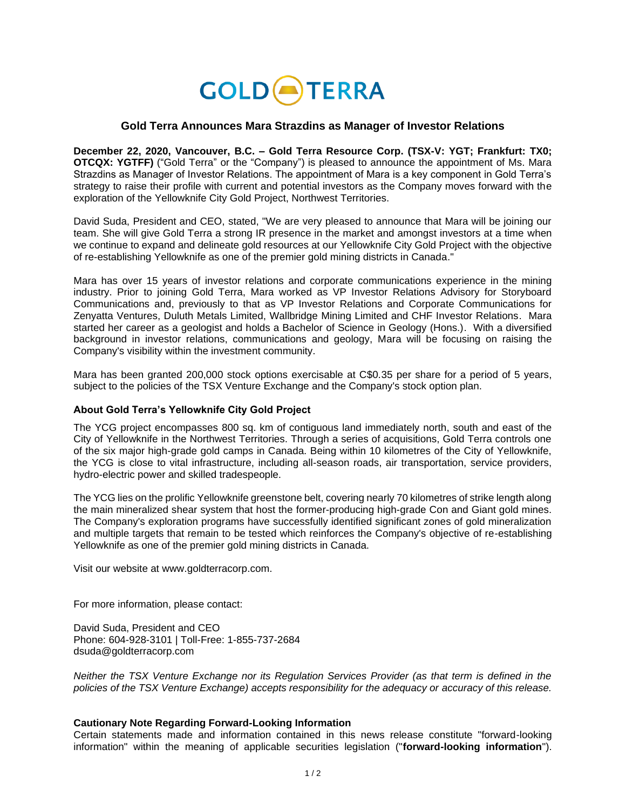

## **Gold Terra Announces Mara Strazdins as Manager of Investor Relations**

**December 22, 2020, Vancouver, B.C. – Gold Terra Resource Corp. (TSX-V: YGT; Frankfurt: TX0; OTCQX: YGTFF)** ("Gold Terra" or the "Company") is pleased to announce the appointment of Ms. Mara Strazdins as Manager of Investor Relations. The appointment of Mara is a key component in Gold Terra's strategy to raise their profile with current and potential investors as the Company moves forward with the exploration of the Yellowknife City Gold Project, Northwest Territories.

David Suda, President and CEO, stated, "We are very pleased to announce that Mara will be joining our team. She will give Gold Terra a strong IR presence in the market and amongst investors at a time when we continue to expand and delineate gold resources at our Yellowknife City Gold Project with the objective of re-establishing Yellowknife as one of the premier gold mining districts in Canada."

Mara has over 15 years of investor relations and corporate communications experience in the mining industry. Prior to joining Gold Terra, Mara worked as VP Investor Relations Advisory for Storyboard Communications and, previously to that as VP Investor Relations and Corporate Communications for Zenyatta Ventures, Duluth Metals Limited, Wallbridge Mining Limited and CHF Investor Relations. Mara started her career as a geologist and holds a Bachelor of Science in Geology (Hons.). With a diversified background in investor relations, communications and geology, Mara will be focusing on raising the Company's visibility within the investment community.

Mara has been granted 200,000 stock options exercisable at C\$0.35 per share for a period of 5 years, subject to the policies of the TSX Venture Exchange and the Company's stock option plan.

## **About Gold Terra's Yellowknife City Gold Project**

The YCG project encompasses 800 sq. km of contiguous land immediately north, south and east of the City of Yellowknife in the Northwest Territories. Through a series of acquisitions, Gold Terra controls one of the six major high-grade gold camps in Canada. Being within 10 kilometres of the City of Yellowknife, the YCG is close to vital infrastructure, including all-season roads, air transportation, service providers, hydro-electric power and skilled tradespeople.

The YCG lies on the prolific Yellowknife greenstone belt, covering nearly 70 kilometres of strike length along the main mineralized shear system that host the former-producing high-grade Con and Giant gold mines. The Company's exploration programs have successfully identified significant zones of gold mineralization and multiple targets that remain to be tested which reinforces the Company's objective of re-establishing Yellowknife as one of the premier gold mining districts in Canada.

Visit our website at [www.goldterracorp.com.](https://goldterracorp.com/)

For more information, please contact:

David Suda, President and CEO Phone: 604-928-3101 | Toll-Free: 1-855-737-2684 dsuda@goldterracorp.com

*Neither the TSX Venture Exchange nor its Regulation Services Provider (as that term is defined in the policies of the TSX Venture Exchange) accepts responsibility for the adequacy or accuracy of this release.*

## **Cautionary Note Regarding Forward-Looking Information**

Certain statements made and information contained in this news release constitute "forward-looking information" within the meaning of applicable securities legislation ("**forward-looking information**").